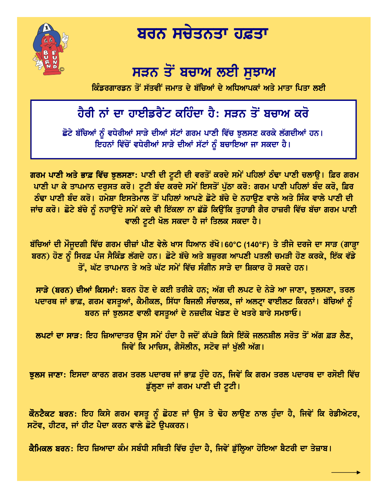

## ਬਰਨ ਸਚੇਤਨਤਾ ਹਫ਼ਤਾ

## ਸੜਨ ਤੋਂ ਬਚਾਅ ਲਈ ਸਝਾਅ

ਕਿੰਡਰਗਾਰਡਨ ਤੋਂ ਸੱਤਵੀਂ ਜਮਾਤ ਦੇ ਬੱਚਿਆਂ ਦੇ ਅਧਿਆਪਕਾਂ ਅਤੇ ਮਾਤਾ ਪਿਤਾ ਲਈ

## ਹੈਰੀ ਨਾਂ ਦਾ ਹਾਈਡਰੈਂਟ ਕਹਿੰਦਾ ਹੈ: ਸੜਨ ਤੋਂ ਬਚਾਅ ਕਰੋ

ਛੋਟੇ ਬੱਚਿਆਂ ਨੂੰ ਵਧੇਰੀਆਂ ਸਾੜੇ ਦੀਆਂ ਸੱਟਾਂ ਗਰਮ ਪਾਣੀ ਵਿੱਚ ਝੁਲਸਣ ਕਰਕੇ ਲੱਗਦੀਆਂ ਹਨ। ਇਹਨਾਂ ਵਿੱਚੋਂ ਵਧੇਰੀਆਂ ਸਾੜੇ ਦੀਆਂ ਸੱਟਾਂ ਨੂੰ ਬਚਾਇਆ ਜਾ ਸਕਦਾ ਹੈ।

ਗਰਮ ਪਾਣੀ ਅਤੇ ਭਾਫ਼ ਵਿੱਚ ਝੁਲਸਣਾ: ਪਾਣੀ ਦੀ ਟੂਟੀ ਦੀ ਵਰਤੋਂ ਕਰਦੇ ਸਮੇਂ ਪਹਿਲਾਂ ਠੰਢਾ ਪਾਣੀ ਚਲਾਉ। ਫ਼ਿਰ ਗਰਮ ਪਾਣੀ ਪਾ ਕੇ ਤਾਪਮਾਨ ਦਰੁਸਤ ਕਰੋ। ਟੁਟੀ ਬੰਦ ਕਰਦੇ ਸਮੇਂ ਇਸਤੋਂ ਪੁੱਠਾ ਕਰੋ: ਗਰਮ ਪਾਣੀ ਪਹਿਲਾਂ ਬੰਦ ਕਰੋ, ਫ਼ਿਰ ਠੰਢਾ ਪਾਣੀ ਬੰਦ ਕਰੋ। ਹਮੇਸ਼ਾ ਇਸਤੇਮਾਲ ਤੋਂ ਪਹਿਲਾਂ ਆਪਣੇ ਛੋਟੇ ਬੱਚੇ ਦੇ ਨਹਾੳਣ ਵਾਲੇ ਅਤੇ ਸਿੰਕ ਵਾਲੇ ਪਾਣੀ ਦੀ ਜਾਂਚ ਕਰੋ। ਛੋਟੇ ਬੱਚੇ ਨੂੰ ਨਹਾਉਂਦੇ ਸਮੇਂ ਕਦੇ ਵੀ ਇੱਕਲਾ ਨਾ ਛੱਡੋ ਕਿਉਂਕਿ ਤੁਹਾਡੀ ਗੈਰ ਹਾਜ਼ਰੀ ਵਿੱਚ ਬੱਚਾ ਗਰਮ ਪਾਣੀ ਵਾਲੀ ਟੂਟੀ ਖੋਲ ਸਕਦਾ ਹੈ ਜਾਂ ਤਿਲਕ ਸਕਦਾ ਹੈ।

ਬੱਚਿਆਂ ਦੀ ਮੌਜੂਦਗੀ ਵਿੱਚ ਗਰਮ ਚੀਜ਼ਾਂ ਪੀਣ ਵੇਲੇ ਖਾਸ ਧਿਆਨ ਰੱਖੋ।60°C (140°F) ਤੇ ਤੀਜੇ ਦਰਜੇ ਦਾ ਸਾੜ (ਗਾੜ੍ਹਾ ਬਰਨ) ਹੋਣ ਨੂੰ ਸਿਰਫ਼ ਪੰਜ ਸੈਕਿੰਡ ਲੱਗਦੇ ਹਨ। ਛੋਟੇ ਬੱਚੇ ਅਤੇ ਬਜ਼ੁਰਗ ਆਪਣੀ ਪਤਲੀ ਚਮੜੀ ਹੋਣ ਕਰਕੇ, ਇੱਕ ਵੱਡੇ ਤੋਂ, ਘੱਟ ਤਾਪਮਾਨ ਤੇ ਅਤੇ ਘੱਟ ਸਮੇਂ ਵਿੱਚ ਸੰਗੀਨ ਸਾੜੇ ਦਾ ਸ਼ਿਕਾਰ ਹੋ ਸਕਦੇ ਹਨ।

ਸਾੜੇ (ਬਰਨ) ਦੀਆਂ ਕਿਸਮਾਂ: ਬਰਨ ਹੋਣ ਦੇ ਕਈ ਤਰੀਕੇ ਹਨ; ਅੱਗ ਦੀ ਲਪਟ ਦੇ ਨੇੜੇ ਆ ਜਾਣਾ, ਝੁਲਸਣਾ, ਤਰਲ ਪਦਾਰਥ ਜਾਂ ਭਾਫ਼, ਗਰਮ ਵਸਤੂਆਂ, ਕੈਮੀਕਲ, ਸਿੱਧਾ ਬਿਜਲੀ ਸੰਚਾਲਕ, ਜਾਂ ਅਲਟ੍ਰਾ ਵਾਈਲਟ ਕਿਰਨਾਂ। ਬੱਚਿਆਂ ਨੂੰ ਬਰਨ ਜਾਂ ਝੁਲਸਣ ਵਾਲੀ ਵਸਤੁਆਂ ਦੇ ਨਜ਼ਦੀਕ ਖੇਡਣ ਦੇ ਖਤਰੇ ਬਾਰੇ ਸਮਝਾਓ।

ਲਪਟਾਂ ਦਾ ਸਾੜ: ਇਹ ਜ਼ਿਆਦਾਤਰ ੳਸ ਸਮੇਂ ਹੰਦਾ ਹੈ ਜਦੋਂ ਕੱਪੜੇ ਕਿਸੇ ਇੱਕੋ ਜਲਨਸ਼ੀਲ ਸਰੋਤ ਤੋਂ ਅੱਗ ਫ਼ੜ ਲੈਣ, ਜਿਵੇਂ ਕਿ ਮਾਚਿਸ, ਗੈਸੋਲੀਨ, ਸਟੋਵ ਜਾਂ ਖੁੱਲੀ ਅੱਗ।

ਝੁਲਸ ਜਾਣਾ: ਇਸਦਾ ਕਾਰਨ ਗਰਮ ਤਰਲ ਪਦਾਰਥ ਜਾਂ ਭਾਫ਼ ਹੁੰਦੇ ਹਨ, ਜਿਵੇਂ ਕਿ ਗਰਮ ਤਰਲ ਪਦਾਰਥ ਦਾ ਰਸੋਈ ਵਿੱਚ ਡੁੱਲੂਣਾ ਜਾਂ ਗਰਮ ਪਾਣੀ ਦੀ ਟੁਟੀ।

ਕੌਨਟੈਕਟ ਬਰਨ: ਇਹ ਕਿਸੇ ਗਰਮ ਵਸਤੂ ਨੂੰ ਛੋਹਣ ਜਾਂ ਉਸ ਤੇ ਢੋਹ ਲਾਉਣ ਨਾਲ ਹੁੰਦਾ ਹੈ, ਜਿਵੇਂ ਕਿ ਰੇਡੀਐਟਰ, ਸਟੋਵ, ਹੀਟਰ, ਜਾਂ ਹੀਟ ਪੈਦਾ ਕਰਨ ਵਾਲੇ ਛੋਟੇ ੳਪਕਰਨ।

ਕੈਮਿਕਲ ਬਰਨ: ਇਹ ਜ਼ਿਆਦਾ ਕੰਮ ਸਬੰਧੀ ਸਥਿਤੀ ਵਿੱਚ ਹੁੰਦਾ ਹੈ, ਜਿਵੇਂ ਡੁੱਲ੍ਹਿਆ ਹੋਇਆ ਬੈਟਰੀ ਦਾ ਤੇਜ਼ਾਬ।